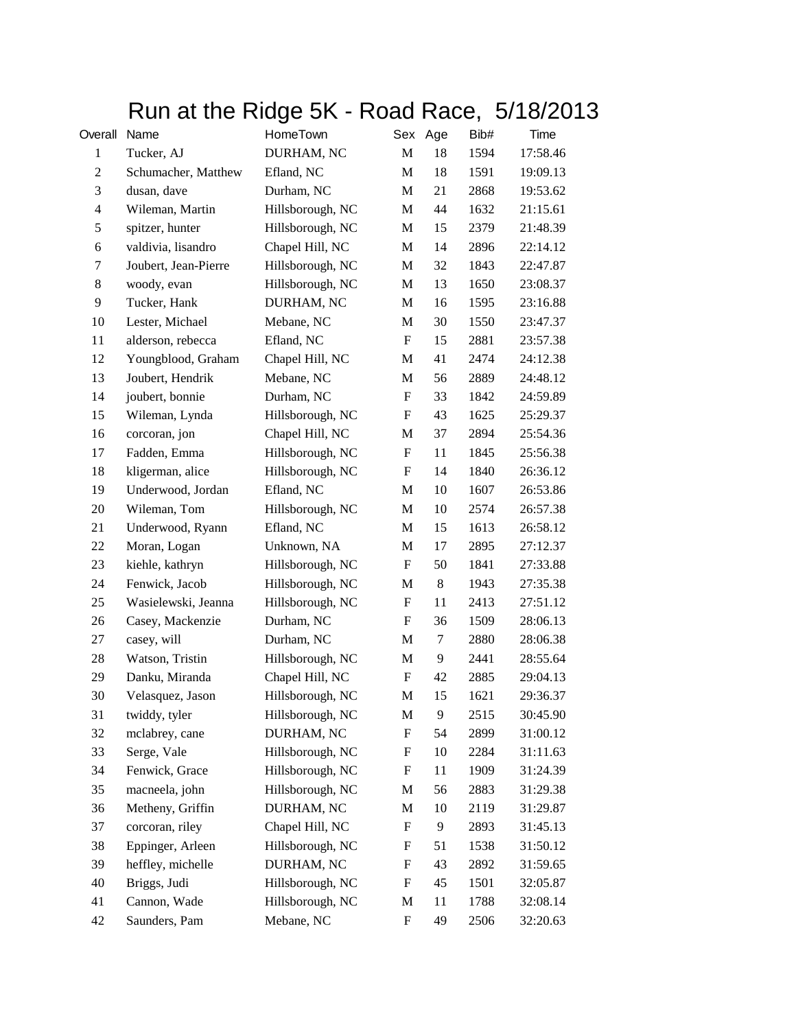## Run at the Ridge 5K - Road Race, 5/18/2013

| Overall                 | Name                 | HomeTown         |                           | Sex Age | Bib# | Time     |
|-------------------------|----------------------|------------------|---------------------------|---------|------|----------|
| $\mathbf{1}$            | Tucker, AJ           | DURHAM, NC       | $\mathbf M$               | 18      | 1594 | 17:58.46 |
| $\overline{c}$          | Schumacher, Matthew  | Efland, NC       | M                         | 18      | 1591 | 19:09.13 |
| 3                       | dusan, dave          | Durham, NC       | M                         | 21      | 2868 | 19:53.62 |
| $\overline{\mathbf{4}}$ | Wileman, Martin      | Hillsborough, NC | M                         | 44      | 1632 | 21:15.61 |
| 5                       | spitzer, hunter      | Hillsborough, NC | M                         | 15      | 2379 | 21:48.39 |
| 6                       | valdivia, lisandro   | Chapel Hill, NC  | M                         | 14      | 2896 | 22:14.12 |
| 7                       | Joubert, Jean-Pierre | Hillsborough, NC | M                         | 32      | 1843 | 22:47.87 |
| 8                       | woody, evan          | Hillsborough, NC | M                         | 13      | 1650 | 23:08.37 |
| 9                       | Tucker, Hank         | DURHAM, NC       | M                         | 16      | 1595 | 23:16.88 |
| 10                      | Lester, Michael      | Mebane, NC       | M                         | 30      | 1550 | 23:47.37 |
| 11                      | alderson, rebecca    | Efland, NC       | $\mathbf F$               | 15      | 2881 | 23:57.38 |
| 12                      | Youngblood, Graham   | Chapel Hill, NC  | M                         | 41      | 2474 | 24:12.38 |
| 13                      | Joubert, Hendrik     | Mebane, NC       | M                         | 56      | 2889 | 24:48.12 |
| 14                      | joubert, bonnie      | Durham, NC       | $\boldsymbol{\mathrm{F}}$ | 33      | 1842 | 24:59.89 |
| 15                      | Wileman, Lynda       | Hillsborough, NC | F                         | 43      | 1625 | 25:29.37 |
| 16                      | corcoran, jon        | Chapel Hill, NC  | M                         | 37      | 2894 | 25:54.36 |
| 17                      | Fadden, Emma         | Hillsborough, NC | F                         | 11      | 1845 | 25:56.38 |
| 18                      | kligerman, alice     | Hillsborough, NC | F                         | 14      | 1840 | 26:36.12 |
| 19                      | Underwood, Jordan    | Efland, NC       | M                         | 10      | 1607 | 26:53.86 |
| 20                      | Wileman, Tom         | Hillsborough, NC | M                         | 10      | 2574 | 26:57.38 |
| 21                      | Underwood, Ryann     | Efland, NC       | $\mathbf M$               | 15      | 1613 | 26:58.12 |
| 22                      | Moran, Logan         | Unknown, NA      | $\mathbf M$               | 17      | 2895 | 27:12.37 |
| 23                      | kiehle, kathryn      | Hillsborough, NC | F                         | 50      | 1841 | 27:33.88 |
| 24                      | Fenwick, Jacob       | Hillsborough, NC | M                         | 8       | 1943 | 27:35.38 |
| 25                      | Wasielewski, Jeanna  | Hillsborough, NC | F                         | 11      | 2413 | 27:51.12 |
| 26                      | Casey, Mackenzie     | Durham, NC       | F                         | 36      | 1509 | 28:06.13 |
| 27                      | casey, will          | Durham, NC       | M                         | 7       | 2880 | 28:06.38 |
| 28                      | Watson, Tristin      | Hillsborough, NC | M                         | 9       | 2441 | 28:55.64 |
| 29                      | Danku, Miranda       | Chapel Hill, NC  | F                         | 42      | 2885 | 29:04.13 |
| 30                      | Velasquez, Jason     | Hillsborough, NC | M                         | 15      | 1621 | 29:36.37 |
| 31                      | twiddy, tyler        | Hillsborough, NC | M                         | 9       | 2515 | 30:45.90 |
| 32                      | mclabrey, cane       | DURHAM, NC       | F                         | 54      | 2899 | 31:00.12 |
| 33                      | Serge, Vale          | Hillsborough, NC | F                         | 10      | 2284 | 31:11.63 |
| 34                      | Fenwick, Grace       | Hillsborough, NC | F                         | 11      | 1909 | 31:24.39 |
| 35                      | macneela, john       | Hillsborough, NC | M                         | 56      | 2883 | 31:29.38 |
| 36                      | Metheny, Griffin     | DURHAM, NC       | M                         | 10      | 2119 | 31:29.87 |
| 37                      | corcoran, riley      | Chapel Hill, NC  | F                         | 9       | 2893 | 31:45.13 |
| 38                      | Eppinger, Arleen     | Hillsborough, NC | F                         | 51      | 1538 | 31:50.12 |
| 39                      | heffley, michelle    | DURHAM, NC       | F                         | 43      | 2892 | 31:59.65 |
| 40                      | Briggs, Judi         | Hillsborough, NC | ${\rm F}$                 | 45      | 1501 | 32:05.87 |
| 41                      | Cannon, Wade         | Hillsborough, NC | M                         | 11      | 1788 | 32:08.14 |
| 42                      | Saunders, Pam        | Mebane, NC       | F                         | 49      | 2506 | 32:20.63 |